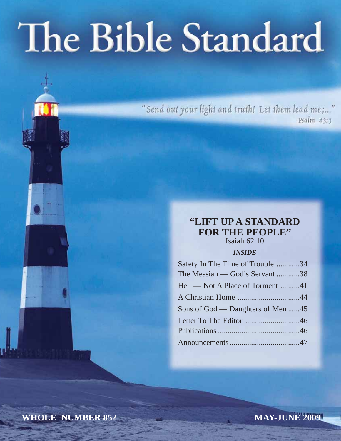# The Bible Standard

"Send out your light and truth! Let them lead me;..."  $Psalm$  43:3

### **"LIFT UP A STANDARD FOR THE PEOPLE"**

Isaiah 62:10

#### *INSIDE*

| Safety In The Time of Trouble 34  |  |
|-----------------------------------|--|
| The Messiah — God's Servant 38    |  |
| Hell — Not A Place of Torment 41  |  |
|                                   |  |
| Sons of God — Daughters of Men 45 |  |
| Letter To The Editor 46           |  |
|                                   |  |
|                                   |  |

**WHOLE NUMBER 852**

**MAY-JUNE 2009**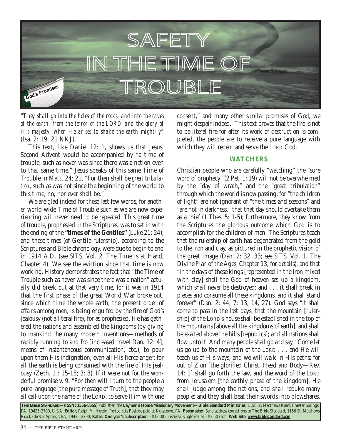

"*They shall go into the holes of the rocks, and into the caves of the earth, from the terror of the LORD and the glory of His majesty, when He arises to shake the earth mightily"* (Isa. 2: 19, 21 NKJ).

This text, like Daniel 12: 1, shows us that Jesus' Second Advent would be accompanied by "a time of trouble, such as never was since there was a nation even to that same time." Jesus speaks of this same Time of Trouble in Matt. 24: 21, "For then shall be *great tribulation*, such as was not since the beginning of the world to this time, no, nor ever shall be."

We are glad indeed for these last few words, for another world-wide Time of Trouble such as we are now experiencing will never need to be repeated. This great time of trouble, prophesied in the Scriptures, was to set in with the ending of the **"times of the Gentiles"** (Luke 21: 24); and these times (of Gentile rulership), according to the Scriptures and Bible chronology, were due to begin to end in 1914 A.D. (see SITS, Vol. 2, The Time is at Hand, Chapter 4). We see the eviction since that time is now working. History demonstrates the fact that "the Time of Trouble such as never was since there was a nation" actually did break out at that very time, for it was in 1914 that the first phase of the great World War broke out, since which time the whole earth, the present order of affairs among men, is being engulfed by the fire of God's jealousy (not a literal fire), for as prophesied, He has gathered the nations and assembled the kingdoms (by giving to mankind the many modern inventions—methods of rapidly running to and fro [increased travel Dan. 12: 4], means of instantaneous communication, etc.), to pour upon them His indignation, even all His fierce anger: for all the earth is being consumed with the fire of His jealousy (Zeph. 1 : 15-18; 3: 8). If it were not for the wonderful promise v. 9, "For then will I turn to the people a pure language [the pure message of Truth], that they may all call upon the name of the LORD, to serve Him with one

consent," and many other similar promises of God, we might despair indeed. This text proves that the fire is not to be literal fire for after its work of destruction is completed, the people are to receive a pure language with which they will repent and serve the LORD God.

#### **WATCHERS**

Christian people who are carefully "watching" the "sure word of prophecy" (2 Pet. 1: 19) will not be overwhelmed by the "day of wrath," and the "great tribulation" through which the world is now passing; for "the children of light" are not ignorant of "the times and seasons" and "are not in darkness," that that day should overtake them as a thief (1 Thes. 5: 1-5); furthermore, they know from the Scriptures the glorious outcome which God is to accomplish for the children of men. The Scriptures teach that the rulership of earth has degenerated from the gold to the iron and clay, as pictured in the prophetic vision of the great image (Dan. 2: 32, 33; see SITS, Vol. 1, The Divine Plan of the Ages, Chapter 13, for details), and that "in the days of these kings [represented in the iron mixed with clay] shall the God of heaven set up a kingdom, which shall never be destroyed: and . . . it shall break in pieces and consume all these kingdoms, and it shall stand forever" (Dan. 2: 44; 7: 13, 14, 27). God says "it shall come to pass in the last days, that the mountain [rulership] of the LORD'S house shall be established in the top of the mountains [above all the kingdoms of earth], and shall be exalted above the hills [republics]; and all nations shall flow unto it. And many people shall go and say, "Come let us go up to the mountain of the LORD . . . and He will teach us of His ways, and we will walk in His paths: for out of Zion [the glorified Christ, Head and Body—Rev. 14: 1] shall go forth the law, and the word of the LORD from Jerusalem [the earthly phase of the kingdom]. He shall judge among the nations, and shall rebuke many people: and they shall beat their swords into plowshares,

**THE BIBLE STANDARD—(ISSN: 1556-8555)** Publisher, the **Laymen's Home Missionary Movement—Bible Standard Ministries**, 1156 St. Matthews Road, Chester Springs, PA, 19425-2700, U.S.A. **Editor,** Ralph M. Herzig. Periodicals Postage paid at Kutztown, PA. **Postmaster:** Send address corrections to The Bible Standard, 1156 St. Matthews Road, Chester Springs, PA, 19425-2700; **Rates: One year's subscription**—\$12.00 (6 issues); single issues—\$2.50 each. **Web Site:** *www.biblestandard.com*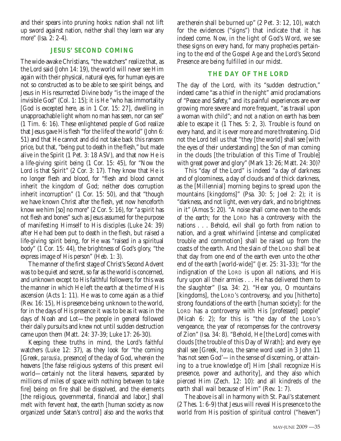and their spears into pruning hooks: nation shall not lift up sword against nation, neither shall they learn war any more" (Isa. 2: 2-4).

#### **JESUS' SECOND COMING**

The wide-awake Christians, "the watchers" realize that, as the Lord said (John 14: 19), the world will never see Him again with their physical, natural eyes, for human eyes are not so constructed as to be able to see spirit beings, and Jesus in His resurrected Divine body "is the image of the invisible God" (Col. 1: 15); it is He "who has immortality [God is excepted here, as in 1 Cor. 15: 27], dwelling in unapproachable light whom no man has seen, nor can see" (1 Tim. 6: 16). These enlightened people of God realize that Jesus gave His flesh "for the life of the world" (John 6: 51) and that He cannot and did not take back this ransom price, but that, "being put to death in the flesh," but made alive in the Spirit (1 Pet. 3: 18 ASV), and that now He is a life-giving spirit being (1 Cor. 15: 45), for "Now the Lord is that Spirit" (2 Cor. 3: 17). They know that He is no longer flesh and blood, for "flesh and blood cannot inherit the kingdom of God; neither does corruption inherit incorruption" (1 Cor. 15: 50), and that "though we have known Christ after the flesh, yet now henceforth know we him [so] no more" (2 Cor. 5: 16), for "a spirit has not flesh and bones" such as Jesus assumed for the purpose of manifesting Himself to His disciples (Luke 24: 39) after He had been put to death in the flesh, but raised a life-giving spirit being, for He was "raised in a spiritual body" (1 Cor. 15: 44), the brightness of God's glory, "the express image of His person" (Heb. 1: 3).

The manner of the first stage of Christ's Second Advent was to be quiet and secret, so far as the world is concerned, and unknown except to His faithful followers; for this was the manner in which He left the earth at the time of His ascension (Acts 1: 11). He was to come again as a thief (Rev. 16: 15), His presence being unknown to the world, for in the days of His presence it was to be as it was in the days of Noah and Lot—the people in general followed their daily pursuits and knew not until sudden destruction came upon them (Matt. 24: 37-39; Luke 17: 26-30).

Keeping these truths in mind, the Lord's faithful watchers (Luke 12: 37), as they look for "the coming [Greek, *parousia*, presence] of the day of God, wherein the heavens [the false religious systems of this present evil world—certainly not the literal heavens, separated by millions of miles of space with nothing between to take fire] being on fire shall be dissolved, and the elements [the religious, governmental, financial and labor,] shall melt with fervent heat, the earth [human society as now organized under Satan's control] also and the works that are therein shall be burned up" (2 Pet. 3: 12, 10), watch for the evidences ("signs") that indicate that it has indeed come. Now, in the light of God's Word, we see these signs on every hand, for many prophecies pertaining to the end of the Gospel Age and the Lord's Second Presence are being fulfilled in our midst.

#### **THE DAY OF THE LORD**

The day of the Lord, with its "sudden destruction," indeed came "as a thief in the night" amid proclamations of "Peace and Safety," and its painful experiences are ever growing more severe and more frequent, "as travail upon a woman with child"; and not a nation on earth has been able to escape it (1 Thes. 5: 2, 3). Trouble is found on every hand, and it is ever more and more threatening. Did not the Lord tell us that "they [the world] shall see [with the eyes of their understanding] the Son of man coming in the clouds [the tribulation of this Time of Trouble] with great power and glory" (Mark 13: 26; Matt. 24: 30)?

This "day of the Lord" is indeed "a day of darkness and of gloominess, a day of clouds and of thick darkness, as the [Millennial] morning begins to spread upon the mountains [kingdoms]" (Psa. 30: 5; Joel 2: 2); it is "darkness, and not light, even very dark, and no brightness in it" (Amos 5: 20). "A noise shall come even to the ends of the earth; for the LORD has a controversy with the nations . . . Behold, evil shall go forth from nation to nation, and a great whirlwind [intense and complicated trouble and commotion] shall be raised up from the coasts of the earth. And the slain of the LORD shall be at that day from one end of the earth even unto the other end of the earth [world-wide]" (Jer. 25: 31-33); "for the indignation of the LORD is upon all nations, and His fury upon all their armies . . . He has delivered them to the slaughter" (Isa. 34: 2). "Hear you, O mountains [kingdoms], the LORD'S controversy, and you [hitherto] strong foundations of the earth [human society]: for the LORD has a controversy with His [professed] people" (Micah 6: 2); for this is "the day of the LORD'S vengeance, the year of recompenses for the controversy of Zion" (Isa. 34: 8). "Behold, He [the Lord] comes with clouds [the trouble of this Day of Wrath]; and every eye shall see [Greek, *horao*, the same word used in 3 John 11 'has not seen God'—in the sense of discerning, or attaining to a true knowledge of] Him [shall recognize His presence, power and authority], and they also which pierced Him (Zech. 12: 10): and all kindreds of the earth shall wail because of Him" (Rev. 1: 7).

The above is all in harmony with St. Paul's statement (2 Thes. 1: 6-9) that Jesus will reveal His presence to the world from His position of spiritual control ("heaven")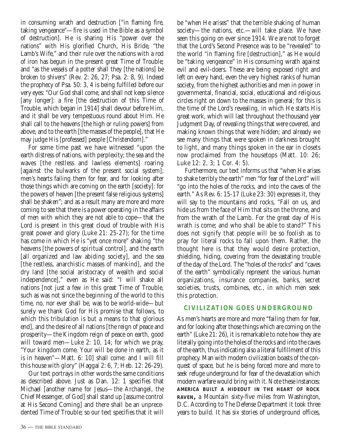in consuming wrath and destruction ["in flaming fire, taking vengeance"—fire is used in the Bible as a symbol of destruction]. He is sharing His "power over the nations" with His glorified Church, His Bride, "the Lamb's Wife," and their rule over the nations with a rod of iron has begun in the present great Time of Trouble; and "as the vessels of a potter shall they [the nations] be broken to shivers" (Rev. 2: 26, 27; Psa. 2: 8, 9). Indeed the prophecy of Psa. 50: 3, 4 is being fulfilled before our very eyes: "Our God shall come, and shall not keep silence [any longer]: a fire [the destruction of this Time of Trouble, which began in 1914] shall devour before Him, and it shall be very tempestuous round about Him. He shall call to the heavens [the high or ruling powers] from above, and to the earth [the masses of the people], that He may judge His [professed] people [Christendom]."

For some time past we have witnessed "upon the earth distress of nations, with perplexity; the sea and the waves [the restless and lawless elements] roaring [against the bulwarks of the present social system]; men's hearts failing them for fear, and for looking after those things which are coming on the earth [society]: for the powers of heaven [the present false religious systems] shall be shaken"; and as a result many are more and more coming to see that there is a power operating in the affairs of men with which they are not able to cope—that the Lord is present in this great cloud of trouble with His great power and glory (Luke 21: 25-27); for the time has come in which He is "yet once more" shaking "the heavens [the powers of spiritual control], and the earth [all organized and law abiding society], and the sea [the restless, anarchistic masses of mankind], and the dry land [the social aristocracy of wealth and social independence]," even as He said: "I will shake all nations [not just a few in this great Time of Trouble, such as was not since the beginning of the world to this time, no, nor ever shall be, was to be world-wide—but surely we thank God for His promise that follows, to which this tribulation is but a means to that glorious end], and the desire of all nations [the reign of peace and prosperity—the Kingdom reign of peace on earth, good will toward men—Luke 2: 10, 14; for which we pray, "Your kingdom come. Your will be done in earth, as it is in heaven"—Matt. 6: 10] shall come: and I will fill this house with glory" (Haggai 2: 6, 7; Heb. 12: 26-29).

Our text portrays in other words the same conditions as described above. Just as Dan. 12: 1 specifies that Michael [another name for Jesus—the Archangel, the Chief Messenger, of God] shall stand up [assume control at His Second Coming] and there shall be an unprecedented Time of Trouble; so our text specifies that it will be "when He arises" that the terrible shaking of human society—the nations, etc.—will take place. We have seen this going on ever since 1914. We are not to forget that the Lord's Second Presence was to be "revealed" to the world "in flaming fire [destruction]," as He would be "taking vengeance" in His consuming wrath against evil and evil-doers. These are being exposed right and left on every hand, even the very highest ranks of human society, from the highest authorities and men in power in governmental, financial, social, educational and religious circles right on down to the masses in general; for this is the time of the Lord's revealing, in which He starts His great work, which will last throughout the thousand year Judgment Day, of revealing things that were covered, and making known things that were hidden; and already we see many things that were spoken in darkness brought to light, and many things spoken in the ear in closets now proclaimed from the housetops (Matt. 10: 26; Luke 12: 2, 3; 1 Cor. 4: 5).

Furthermore, our text informs us that "when He arises to shake terribly the earth" men "for fear of the Lord" will "go into the holes of the rocks, and into the caves of the earth." As Rev. 6: 15-17 (Luke 23: 30) expresses it, they will say to the mountains and rocks, "Fall on us, and hide us from the face of Him that sits on the throne, and from the wrath of the Lamb. For the great day of His wrath is come; and who shall be able to stand?" This does not signify that people will be so foolish as to pray for literal rocks to fall upon them. Rather, the thought here is that they would desire protection, shielding, hiding, covering from the devastating trouble of the day of the Lord. The "holes of the rocks" and "caves of the earth" symbolically represent the various human organizations, insurance companies, banks, secret societies, trusts, combines, etc., in which men seek this protection.

#### **CIVILIZATION GOES UNDERGROUND**

As men's hearts are more and more "failing them for fear, and for looking after those things which are coming on the earth" (Luke 21: 26), it is remarkable to note how they are literally going into the holes of the rocks and into the caves of the earth, thus indicating also a literal fulfillment of this prophecy. Man with modern civilization boasts of the conquest of space, but he is being forced more and more to seek refuge underground for fear of the devastation which modern warfare would bring with it. Note these instances: **AMERICA BUILT A HIDEOUT IN THE HEART OF ROCK RAVEN,** a Mountain sixty-five miles from Washington, D.C. According to The Defense Department it took three years to build. It has six stories of underground offices,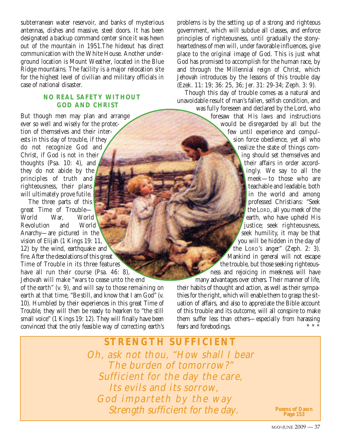subterranean water reservoir, and banks of mysterious antennas, dishes and massive, steel doors. It has been designated a backup command center since it was hewn out of the mountain in 1951.The hideout has direct communication with the White House. Another underground location is Mount Weather, located in the Blue Ridge mountains. The facility is a major relocation site for the highest level of civilian and military officials in case of national disaster.

#### **NO REAL SAFETY WITHOUT GOD AND CHRIST**

But though men may plan and arrange ever so well and wisely for the protection of themselves and their interests in this day of trouble, if they do not recognize God and Christ, if God is not in their thoughts (Psa. 10: 4), and they do not abide by the principles of truth and righteousness, their plans will ultimately prove futile.

The three parts of this great Time of Trouble— World War, World Revolution and World Anarchy—are pictured in the vision of Elijah (1 Kings 19: 11, 12) by the wind, earthquake and fire. After the desolations of this great Time of Trouble in its three features have all run their course (Psa. 46: 8). Jehovah will make "wars to cease unto the end of the earth" (v. 9), and will say to those remaining on earth at that time, "Be still, and know that I am God" (v. 10). Humbled by their experiences in this great Time of Trouble, they will then be ready to hearken to "the still small voice" (1 Kings 19: 12). They will finally have been convinced that the only feasible way of correcting earth's problems is by the setting up of a strong and righteous government, which will subdue all classes, and enforce principles of righteousness, until gradually the stonyheartedness of men will, under favorable influences, give place to the original image of God. This is just what God has promised to accomplish for the human race, by and through the Millennial reign of Christ, which Jehovah introduces by the lessons of this trouble day (Ezek. 11: 19; 36: 25, 36; Jer. 31: 29-34; Zeph. 3: 9).

Though this day of trouble comes as a natural and unavoidable result of man's fallen, selfish condition, and

was fully foreseen and declared by the Lord, who foresaw that His laws and instructions would be disregarded by all but the few until experience and compulsion force obedience, yet all who realize the state of things coming should set themselves and their affairs in order accordingly. We say to all the meek—to those who are teachable and leadable, both in the world and among professed Christians: "Seek the LORD, all you meek of the earth, who have upheld His justice; seek righteousness, seek humility, it may be that you will be hidden in the day of the LORD'S anger" (Zeph. 2: 3). Mankind in general will not escape the trouble, but those seeking righteousness and rejoicing in meekness will have many advantages over others. Their manner of life,

their habits of thought and action, as well as their sympathies for the right, which will enable them to grasp the situation of affairs, and also to appreciate the Bible account of this trouble and its outcome, will all conspire to make them suffer less than others—especially from harassing<br>form and forehodings fears and forebodings.

**STRENGTH SUFFICIENT** Oh, ask not thou, "How shall I bear The burden of tomorrow?" Sufficient for the day the care, Its evils and its sorrow, God imparteth by the way Strength sufficient for the day. **Poems of Dawn** 

**Page 153**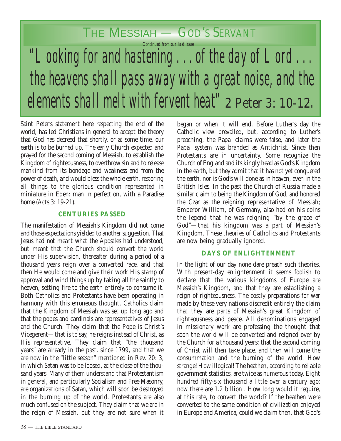## THE MESSIAH — GOD'S SERVANT

*"Looking for and hastening . . . of the day of Lord . . . the heavens shall pass away with a great noise, and the elements shall melt with fervent heat"* 2 Peter 3: 10-12*. Continued from our last issue.*

Saint Peter's statement here respecting the end of the world, has led Christians in general to accept the theory that God has decreed that shortly, or at some time, our earth is to be burned up. The early Church expected and prayed for the second coming of Messiah, to establish the Kingdom of righteousness, to overthrow sin and to release mankind from its bondage and weakness and from the power of death, and would bless the whole earth, restoring all things to the glorious condition represented in miniature in Eden: man in perfection, with a Paradise home (Acts 3: 19-21).

#### **CENTURIES PASSED**

The manifestation of Messiah's Kingdom did not come and those expectations yielded to another suggestion. That Jesus had not meant what the Apostles had understood, but meant that the Church should convert the world under His supervision, thereafter during a period of a thousand years reign over a converted race, and that then He would come and give their work His stamp of approval and wind things up by taking all the saintly to heaven, setting fire to the earth entirely to consume it. Both Catholics and Protestants have been operating in harmony with this erroneous thought. Catholics claim that the Kingdom of Messiah was set up long ago and that the popes and cardinals are representatives of Jesus and the Church. They claim that the Pope is Christ's Vicegerent—that is to say, he reigns instead of Christ, as His representative. They claim that "the thousand years" are already in the past, since 1799, and that we are now in the "little season" mentioned in Rev. 20: 3, in which Satan was to be loosed, at the close of the thousand years. Many of them understand that Protestantism in general, and particularly Socialism and Free Masonry, are organizations of Satan, which will soon be destroyed in the burning up of the world. Protestants are also much confused on the subject. They claim that we are in the reign of Messiah, but they are not sure when it began or when it will end. Before Luther's day the Catholic view prevailed, but, according to Luther's preaching, the Papal claims were false, and later the Papal system was branded as Antichrist. Since then Protestants are in uncertainty. Some recognize the Church of England and its kingly head as God's Kingdom in the earth, but they admit that it has not yet conquered the earth, nor is God's will done as in heaven, even in the British Isles. In the past the Church of Russia made a similar claim to being the Kingdom of God, and honored the Czar as the reigning representative of Messiah; Emperor William, of Germany, also had on his coins the legend that he was reigning "by the grace of God"—that his kingdom was a part of Messiah's Kingdom. These theories of Catholics and Protestants are now being gradually ignored.

#### **DAYS OF ENLIGHTENMENT**

In the light of our day none dare preach such theories. With present-day enlightenment it seems foolish to declare that the various kingdoms of Europe are Messiah's Kingdom, and that they are establishing a reign of righteousness. The costly preparations for war made by these very nations discredit entirely the claim that they are parts of Messiah's great Kingdom of righteousness and peace. All denominations engaged in missionary work are professing the thought that soon the world will be converted and reigned over by the Church for a thousand years; that the second coming of Christ will then take place, and then will come the consummation and the burning of the world. How strange! How illogical! The heathen, according to reliable government statistics, are twice as numerous today. Eight hundred fifty-six thousand a little over a century ago; now there are 1.2 billion . How long would it require, at this rate, to convert the world? If the heathen were converted to the same condition of civilization enjoyed in Europe and America, could we claim then, that God's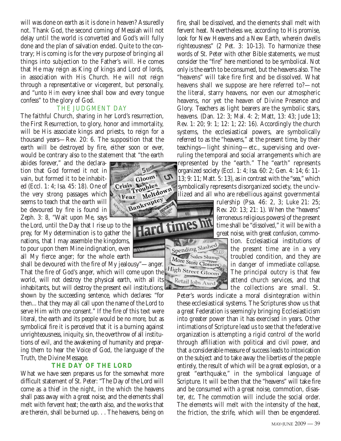will was done on earth as it is done in heaven? Assuredly not. Thank God, the second coming of Messiah will not delay until the world is converted and God's will fully done and the plan of salvation ended. Quite to the contrary; His coming is for the very purpose of bringing all things into subjection to the Father's will. He comes that He may reign as King of kings and Lord of lords, in association with His Church. He will not reign through a representative or vicegerent, but personally, and "unto *Him* every knee shall bow and every tongue confess" to the glory of God.

#### THE JUDGMENT DAY

The faithful Church, sharing in her Lord's resurrection, the First Resurrection, to glory, honor and immortality, will be His associate kings and priests, to reign for a thousand years—Rev. 20: 6. The supposition that the earth will be destroyed by fire, either soon or ever, would be contrary also to the statement that "the earth

abides forever," and the declaration that God formed it not in vain, but formed it to be inhabited (Eccl. 1: 4; Isa. 45: 18). One of the very strong passages which seems to teach that the earth will be devoured by fire is found in Zeph. 3: 8, "Wait upon Me, says

the Lord, until the Day that I rise up to the prey, for My determination is to gather the nations, that I may assemble the kingdoms, to pour upon them Mine indignation, even all My fierce anger; for the whole earth

shall be devoured with the fire of My jealousy"—anger. That the fire of God's anger, which will come upon the world, will not destroy the physical earth, with all its inhabitants, but will destroy the present evil institutions; shown by the succeeding sentence, which declares: "for then... that they may all call upon the name of the Lord to serve Him with one consent." If the fire of this text were literal, the earth and its people would be no more, but as symbolical fire it is perceived that it is a burning against unrighteousness, iniquity, sin, the overthrow of all institutions of evil, and the awakening of humanity and preparing them to hear the Voice of God, the language of the

#### **THE DAY OF THE LORD**

Truth, the Divine Message.

What we have seen prepares us for the somewhat more difficult statement of St. Peter: "The Day of the Lord will come as a thief in the night, in the which the heavens shall pass away with a great noise, and the elements shall melt with fervent heat; the earth also, and the works that are therein, shall be burned up. . . The heavens, being on



fire, shall be dissolved, and the elements shall melt with fervent heat. Nevertheless we, according to His promise, look for New Heavens and a New Earth, wherein dwells righteousness" (2 Pet. 3: 10-13). To harmonize these words of St. Peter with other Bible statements, we must consider the "fire" here mentioned to be symbolical. Not only is the earth to be consumed, but the heavens also. The "heavens" will take fire first and be dissolved. What heavens shall we suppose are here referred to?—not the literal, starry heavens, nor even our atmospheric heavens, nor yet the heaven of Divine Presence and Glory. Teachers as light bearers are the symbolic stars, heavens. (Dan. 12: 3; Mal. 4: 2; Matt, 13: 43; Jude 13; Rev. 1: 20; 9: 1; 12: 1; 22: 16). Accordingly the church systems, the ecclesiastical powers, are symbolically referred to as the "heavens," at the present time, by their teachings—light shining—etc., supervising and overruling the temporal and social arrangements which are represented by the "earth." The "earth" represents organized society (Eccl. 1: 4; Isa. 60: 2; Gen. 4: 14; 6: 11- 13; 9: 11; Matt. 5: 13), as in contrast with the "sea," which symbolically represents disorganized society, the uncivilized and all who are rebellious against governmental

rulership (Psa. 46: 2, 3; Luke 21: 25; Rev. 20: 13; 21: 1). When the "heavens" (erroneous religious powers) of the present time shall be "dissolved," it will be with a great noise, with great confusion, commo-

> tion. Ecclesiastical institutions of the present time are in a very troubled condition, and they are in danger of immediate collapse. The principal outcry is that few attend church services, and that the collections are small. St.

Peter's words indicate a moral disintegration within these ecclesiastical systems. The Scriptures show us that a great Federation is seemingly bringing Ecclesiasticism into greater power than it has exercised in years. Other intimations of Scripture lead us to see that the federative organization is attempting a rigid control of the world through affiliation with political and civil power, and that a considerable measure of success leads to intoxication on the subject and to take away the liberties of the people entirely, the result of which will be a great explosion, or a great "earthquake," in the symbolical language of Scripture. It will be then that the "heavens" will take fire and be consumed with a great noise, commotion, disaster, *etc*. The commotion will include the social order. The elements will melt with the intensity of the heat, the friction, the strife, which will then be engendered.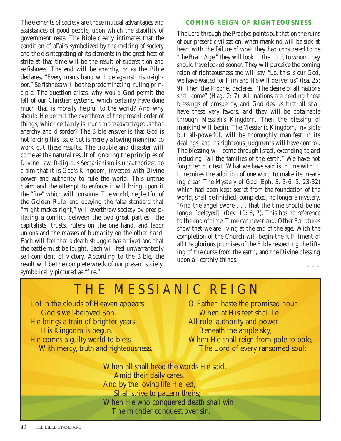The elements of society are those mutual advantages and assistances of good people, upon which the stability of government rests. The Bible clearly intimates that the condition of affairs symbolized by the melting of society and the disintegrating of its elements in the great heat of strife at that time will be the result of superstition and selfishness. The end will be anarchy, or as the Bible declares, "Every man's hand will be against his neighbor." Selfishness will be the predominating, ruling principle. The question arises, why would God permit the fall of our Christian systems, which certainly have done much that is morally helpful to the world? And why should He permit the overthrow of the present order of things, which certainly is much more advantageous than anarchy and disorder? The Bible answer is that God is not forcing this issue, but is merely allowing mankind to work out these results. The trouble and disaster will come as the natural result of ignoring the principles of Divine Law. Religious Sectarianism is unauthorized to claim that it is God's Kingdom, invested with Divine power and authority to rule the world. This untrue claim and the attempt to enforce it will bring upon it the "fire" which will consume. The world, neglectful of the Golden Rule, and obeying the false standard that "might makes right," will overthrow society by precipitating a conflict between the two great parties—the capitalists, trusts, rulers on the one hand, and labor unions and the masses of humanity on the other hand. Each will feel that a death struggle has arrived and that the battle must be fought. Each will feel unwarrantedly self-confident of victory. According to the Bible, the result will be the complete wreck of our present society, symbolically pictured as "fire."

#### **COMING REIGN OF RIGHTEOUSNESS**

The Lord through the Prophet points out that on the ruins of our present civilization, when mankind will be sick at heart with the failure of what they had considered to be "the Brain Age," they will look to the Lord, to whom they should have looked sooner. They will perceive the coming reign of righteousness and will say, "Lo, this is our God, we have waited for Him and He will deliver us" (Isa. 25: 9). Then the Prophet declares, "The desire of all nations shall come" (Hag. 2: 7). All nations are needing these blessings of prosperity, and God desires that all shall have these very favors, and they will be obtainable through Messiah's Kingdom. Then the blessing of mankind will begin. The Messianic Kingdom, invisible but all-powerful, will be thoroughly manifest in its dealings; and its righteous judgments will have control. The blessing will come through Israel, extending to and including "all the families of the earth." We have not forgotten our text. What we have said is in line with it. It requires the addition of one word to make its meaning clear. The Mystery of God (Eph. 3: 3-6; 5: 23-32) which had been kept secret from the foundation of the world, shall be finished, completed, no longer a mystery. "And the angel swore . . . that the time should be no longer [delayed]" (Rev. 10: 6, 7). This has no reference to the end of time. Time can never end. Other Scriptures show that we are living at the end of the age. With the completion of the Church will begin the fulfillment of all the glorious promises of the Bible respecting the lifting of the curse from the earth, and the Divine blessing upon all earthly things.

\*\*\*

# THE MESSIANIC REIGN

Lo! in the clouds of Heaven appears God's well-beloved Son. He brings a train of brighter years, His Kingdom is begun. He comes a guilty world to bless With mercy, truth and righteousness. O Father! haste the promised hour When at His feet shall lie All rule, authority and power Beneath the ample sky; When He shall reign from pole to pole, The Lord of every ransomed soul;

When all shall heed the words He said. Amid their daily cares, And by the loving life He led, Shall strive to pattern theirs; When He who conquered death shall win The mightier conquest over sin.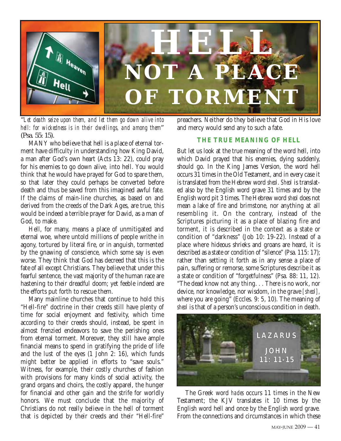

"*Let death seize upon them, and let them go down alive into hell: for wickedness is in their dwellings, and among them*" (Psa. 55: 15).

MANY who believe that hell is a place of eternal torment have difficulty in understanding how King David, a man after God's own heart (Acts 13: 22), could pray for his enemies to go down alive*,* into hell. You would think that he would have prayed for God to spare them, so that later they could perhaps be converted before death and thus be saved from this imagined awful fate. If the claims of main-line churches, as based on and derived from the creeds of the Dark Ages, are true, this would be indeed a terrible prayer for David, as a man of God, to make.

Hell, for many, means a place of unmitigated and eternal woe, where untold millions of people writhe in agony, tortured by literal fire, or in anguish, tormented by the gnawing of conscience, which some say is even worse. They think that God has decreed that this is the fate of all except Christians. They believe that under this fearful sentence, the vast majority of the human race are hastening to their dreadful doom; yet feeble indeed are the efforts put forth to rescue them.

Many mainline churches that continue to hold this "Hell-fire" doctrine in their creeds still have plenty of time for social enjoyment and festivity, which time according to their creeds should, instead, be spent in almost frenzied endeavors to save the perishing ones from eternal torment. Moreover, they still have ample financial means to spend in gratifying the pride of life and the lust of the eyes (1 John 2: 16), which funds might better be applied in efforts to "save souls." Witness, for example, their costly churches of fashion with provisions for many kinds of social activity, the grand organs and choirs, the costly apparel, the hunger for financial and other gain and the strife for worldly honors. We must conclude that the majority of Christians do not really believe in the hell of torment that is depicted by their creeds and their "Hell-fire"

preachers. Neither do they believe that God in His love and mercy would send any to such a fate.

#### **THE TRUE MEANING OF HELL**

But let us look at the true meaning of the word hell, into which David prayed that his enemies, dying suddenly, should go. In the King James Version, the word hell occurs 31 times in the Old Testament, and in every case it is translated from the Hebrew word *sheol*. *Sheol* is translated also by the English word grave 31 times and by the English word pit 3 times. The Hebrew word *sheol* does not mean a lake of fire and brimstone, nor anything at all resembling it. On the contrary, instead of the Scriptures picturing it as a place of blazing fire and torment, it is described in the context as a state or condition of "darkness" (Job 10: 19-22). Instead of a place where hideous shrieks and groans are heard, it is described as a state or condition of "silence" (Psa. 115: 17); rather than setting it forth as in any sense a place of pain, suffering or remorse, some Scriptures describe it as a state or condition of "forgetfulness" (Psa. 88: 11, 12). "The dead know not any thing. . . There is no work, nor device, nor knowledge, nor wisdom, in the grave *[sheol],* where you are going" (Eccles. 9: 5, 10). The meaning of *sheol* is that of a person's unconscious condition in death.



The Greek word *hades* occurs 11 times in the New Testament; the KJV translates it 10 times by the English word hell and once by the English word grave*.* From the connections and circumstances in which these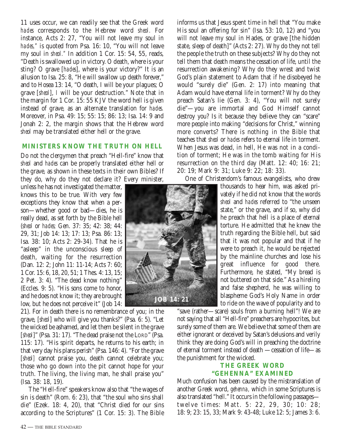11 uses occur, we can readily see that the Greek word *hades* corresponds to the Hebrew word *sheol.* For instance, Acts 2: 27, "You will not leave my soul in *hades,"* is quoted from Psa. 16: 10, "You will not leave my soul in *sheol."* In addition 1 Cor. 15: 54, 55, reads, "Death is swallowed up in victory. O death, where is your sting? O grave [*hades*], where is your victory?" It is an allusion to Isa. 25: 8, "He will swallow up death forever," and to Hosea 13: 14, "O death, I will be your plagues; O grave [*sheol*], *I* will be your destruction." Note that in the margin for 1 Cor. 15: 55 KJV the word hell is given instead of grave*,* as an alternate translation for *hades.* Moreover, in Psa. 49: 15; 55: 15; 86: 13; Isa. 14: 9 and Jonah 2: 2, the margin shows that the Hebrew word *sheol* may be translated either hell or the grave*.*

#### **MINISTERS KNOW THE TRUTH ON HELL**

Do not the clergymen that preach "Hell-fire" know that *sheol* and *hades* can be properly translated either hell or the grave*,* as shown in these texts in their own Bibles? If they do, why do they not declare it? Every minister,

unless he has not investigated the matter, knows this to be true. With very few exceptions they know that when a person—whether good or bad—dies, he is really dead, as set forth by the Bible hell (*sheol* or *hades;* Gen. 37: 35; 42: 38; 44: 29, 31; Job 14: 13; 17: 13; Psa. 86: 13; Isa. 38: 10; Acts 2: 29-34). That he is "asleep" in the unconscious sleep of death, waiting for the resurrection (Dan. 12: 2; John 11: 11-14; Acts 7: 60; 1 Cor. 15: 6, 18, 20, 51; 1 Thes. 4: 13, 15; 2 Pet. 3: 4). "The dead know nothing" (Eccles. 9: 5). "His sons come to honor, and he does not know it; they are brought low, but he does not perceive it" (Job 14:

21). For in death there is no remembrance of you; in the grave, [*sheol*] who will give you thanks?" (Psa. 6: 5). "Let the wicked be ashamed, and let them be silent in the grave [sheol]" (Psa. 31: 17). "The dead praise not the LORD" (Psa. 115: 17). "His spirit departs, he returns to his earth; in that very day his plans perish" (Psa. 146: 4). "For the grave [sheol] cannot praise you, death cannot celebrate you; those who go down into the pit cannot hope for your truth. The living, the living man, he shall praise you" (Isa. 38: 18, 19).

The "Hell-fire" speakers know also that "the wages of sin is death" (Rom. 6: 23), that "the soul who sins shall die" (Ezek. 18: 4, 20), that "Christ died for our sins according to the Scriptures" (1 Cor. 15: 3). The Bible informs us that Jesus spent time in hell that "You make His soul an offering for sin" (Isa. 53: 10, 12) and "you will not leave my soul in Hades, or grave [the hidden state, sleep of death]" (Acts 2: 27). Why do they not tell the people the truth on these subjects? Why do they not tell them that death means the cessation of life, until the resurrection awakening? Why do they wrest and twist God's plain statement to Adam that if he disobeyed he would "surely die" (Gen. 2: 17) into meaning that Adam would have eternal life in torment? Why do they preach Satan's lie (Gen. 3: 4), "You will not surely die"—you are immortal and God Himself cannot destroy you? Is it because they believe they can "scare" more people into making "decisions for Christ," winning more converts? There is nothing in the Bible that teaches that *sheol* or *hades* refers to eternal life in torment. When Jesus was dead, in hell, He was not in a condition of torment; He was in the tomb waiting for His resurrection on the third day (Matt. 12: 40; 16: 21; 20: 19; Mark 9: 31; Luke 9: 22; 18: 33).

One of Christendom's famous evangelists, who drew

thousands to hear him, was asked privately if he did not know that the words *sheol* and *hades* referred to "the unseen state," or the grave, and if so, why did he preach that hell is a place of eternal torture. He admitted that he knew the truth regarding the Bible hell, but said that it was not popular and that if he were to preach it, he would be rejected by the mainline churches and lose his great influence for good there. Furthermore, he stated, "My bread is not buttered on that side." As a hireling and false shepherd, he was willing to blaspheme God's Holy Name in order to ride on the wave of popularity and to

"save (rather—scare) souls from a burning hell"! We are not saying that all "Hell-fire" preachers are hypocrites, but surely some of them are. We believe that some of them are either ignorant or deceived by Satan's delusions and verily think they are doing God's will in preaching the doctrine of eternal torment instead of death —cessation of life—as the punishment for the wicked.

#### **THE GREEK WORD "GEHENNA" EXAMINED**

Much confusion has been caused by the mistranslation of another Greek word, *gehenna,* which in some Scriptures is also translated "hell." It occurs in the following passages twelve times: Matt. 5: 22, 29, 30; 10: 28; 18: 9; 23: 15, 33; Mark 9: 43-48; Luke 12: 5; James 3: 6.

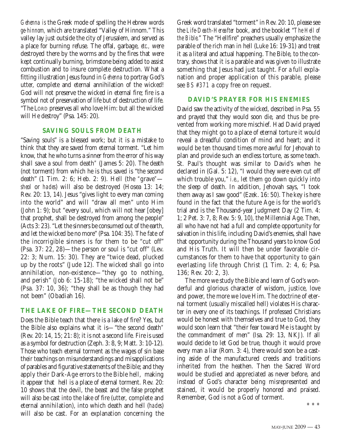*Gehenna is* the Greek mode of spelling the Hebrew words *ge-hinnom,* which are translated "Valley of Hinnom." This valley lay just outside the city of Jerusalem, and served as a place for burning refuse. The offal, garbage, *etc.,* were destroyed there by the worms and by the fires that were kept continually burning, brimstone being added to assist combustion and to insure complete destruction. What a fitting illustration Jesus found in *Gehenna* to portray God's utter, complete and eternal annihilation of the wicked! God will not preserve the wicked in eternal fire; fire is a symbol not of preservation of life but of destruction of life. "The LORD preserves all who love Him: but all the wicked will He destroy" (Psa. 145: 20).

#### **SAVING SOULS FROM DEATH**

"Saving souls" is a blessed work; but it is a mistake to think that they are saved from eternal torment. "Let him know, that he who turns a sinner from the error of his way shall save a soul from death*"* (James 5: 20). The death (not torment) from which he is thus saved is "the second death" (1 Tim. 2: 6; Heb. 2: 9). Hell (the *"*grave*" sheol* or *hades*) will also be destroyed (Hosea 13: 14; Rev. 20: 13, 14). Jesus "gives light to every man coming into the world" and will "draw all men" unto Him (John 1: 9); but "every soul, which will not hear [obey] that prophet, shall be destroyed from among the people" (Acts 3: 23). "Let the sinners be consumed out of the earth, and let the wicked be no more" (Psa. 104: 35). The fate of the incorrigible sinners is for them to be "cut off" (Psa. 37: 22, 28)—the person or soul is "cut off" (Lev. 22: 3; Num. 15: 30). They are "twice dead, plucked up by the roots" (Jude 12). The wicked shall go into annihilation, non-existence—"they go to nothing, and perish" (Job 6: 15-18); "the wicked shall not be" (Psa. 37: 10, 36); "they shall be as though they had not been" (Obadiah 16).

#### **THE LAKE OF FIRE—THE SECOND DEATH**

Does the Bible teach that there is a lake of fire? Yes, but the Bible also explains what it is—"the second death*"* (Rev. 20: 14, 15; 21: 8); it is not a second life*.* Fire is used as a symbol for destruction (Zeph. 3: 8, 9; Matt. 3: 10-12). Those who teach eternal torment as the wages of sin base their teachings on misunderstandings and misapplications of parables and figurative statements of the Bible; and they apply their Dark-Age errors to the Bible hell, making it appear that hell is a place of eternal torment. Rev. 20: 10 shows that the devil, the beast and the false prophet will also be cast into the lake of fire (utter, complete and eternal annihilation), into which death and hell (*hades*) will also be cast. For an explanation concerning the

Greek word translated "torment" in Rev. 20: 10, please see the *Life-Death-Hereafter* book, and the booklet "*The Hell of the Bible*." The "Hellfire" preachers usually emphasize the parable of the rich man in hell (Luke 16: 19-31) and treat it as a literal and actual happening. The Bible, to the contrary, shows that it is a parable and was given to illustrate something that Jesus had just taught. For a full explanation and proper application of this parable, please see *BS #371* a copy free on request.

#### **DAVID'S PRAYER FOR HIS ENEMIES**

David saw the activity of the wicked, described in Psa. 55 and prayed that they would soon die, and thus be prevented from working more mischief. Had David prayed that they might go to a place of eternal torture it would reveal a dreadful condition of mind and heart; and it would be ten thousand times more awful for Jehovah to plan and provide such an endless torture, as some teach. St. Paul's thought was similar to David's when he declared in (Gal. 5: 12), "I would they were even cut off which trouble you," *i.e*., let them go down quickly into the sleep of death. In addition, Jehovah says, "I took them away as I saw good" (Ezek. 16: 50). The key is here found in the fact that the future Age is for the world's trial and is the Thousand-year Judgment Day (2 Tim. 4: 1; 2 Pet. 3: 7, 8; Rev. 5: 9, 10), the Millennial Age. Then, all who have not had a full and complete opportunity for salvation in this life, including David's enemies, shall have that opportunity during the Thousand years to know God and His Truth. It will then be under favorable circumstances for them to have that opportunity to gain everlasting life through Christ (1 Tim. 2: 4, 6; Psa. 136; Rev. 20: 2, 3).

The more we study the Bible and learn of God's wonderful and glorious character of wisdom, justice, love and power, the more we love Him. The doctrine of eternal torment (usually miscalled hell) violates His character in every one of its teachings. If professed Christians would be honest with themselves and true to God, they would soon learn that "their fear toward Me is taught by the commandment of men" (Isa. 29: 13, NKJ). If all would decide to let God be true, though it would prove every man a liar (Rom. 3: 4), there would soon be a casting aside of the manufactured creeds and traditions inherited from the heathen. Then the Sacred Word would be studied and appreciated as never before, and instead of God's character being misrepresented and stained, it would be properly honored and praised. Remember, God is not a God of torment.

\*\*\*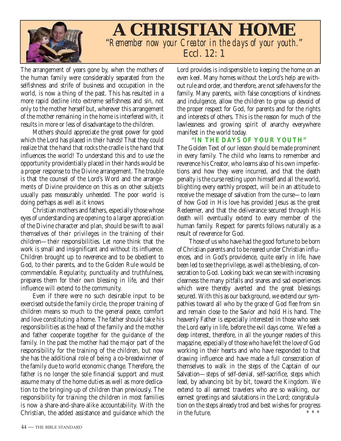

## **A CHRISTIAN HOME** "*Remember now your Creator in the days of your youth.*" Eccl. 12: 1

The arrangement of years gone by, when the mothers of the human family were considerably separated from the selfishness and strife of business and occupation in the world, is now a thing of the past. This has resulted in a more rapid decline into extreme selfishness and sin, not only to the mother herself but, wherever this arrangement of the mother remaining in the home is interfered with, it results in more or less of disadvantage to the children.

Mothers should appreciate the great power for good which the Lord has placed in their hands! That they could realize that the hand that rocks the cradle is the hand that influences the world! To understand this and to use the opportunity providentially placed in their hands would be a proper response to the Divine arrangement. The trouble is that the counsel of the Lord's Word and the arrangements of Divine providence on this as on other subjects usually pass measurably unheeded. The poor world is doing perhaps as well as it knows

Christian mothers and fathers, especially those whose eyes of understanding are opening to a larger appreciation of the Divine character and plan, should be swift to avail themselves of their privileges in the training of their children—their responsibilities. Let none think that the work is small and insignificant and without its influence. Children brought up to reverence and to be obedient to God, to their parents, and to the Golden Rule would be commendable. Regularity, punctuality and truthfulness, prepares them for their own blessing in life, and their influence will extend to the community.

Even if there were no such desirable input to be exercised outside the family circle, the proper training of children means so much to the general peace, comfort and love constituting a home. The father should take his responsibilities as the head of the family and the mother and father cooperate together for the guidance of the family. In the past the mother had the major part of the responsibility for the training of the children, but now she has the additional role of being a co-breadwinner of the family due to world economic change. Therefore, the father is no longer the sole financial support and must assume many of the home duties as well as more dedication to the bringing-up of children than previously. The responsibility for training the children in most families is now a share-and-share-alike accountability. With the Christian, the added assistance and guidance which the

Lord provides is indispensible to keeping the home on an even keel. Many homes without the Lord's help are without rule and order, and therefore, are not safe havens for the family. Many parents, with false conceptions of kindness and indulgence, allow the children to grow up devoid of the proper respect for God, for parents and for the rights and interests of others. This is the reason for much of the lawlessness and growing spirit of anarchy everywhere manifest in the world today.

#### **"IN THE DAYS OF YOUR YOUTH"**

The Golden Text of our lesson should be made prominent in every family. The child who learns to remember and reverence his Creator, who learns also of his own imperfections and how they were incurred, and that the death penalty is the curse resting upon himself and all the world, blighting every earthly prospect, will be in an attitude to receive the message of salvation from the curse—to learn of how God in His love has provided Jesus as the great Redeemer, and that the deliverance secured through His death will eventually extend to every member of the human family. Respect for parents follows naturally as a result of reverence for God.

Those of us who have had the good fortune to be born of Christian parents and to be reared under Christian influences, and in God's providence, quite early in life, have been led to see the privilege, as well as the blessing, of consecration to God. Looking back we can see with increasing clearness the many pitfalls and snares and sad experiences which were thereby averted and the great blessings secured. With this as our background, we extend our sympathies toward all who by the grace of God flee from sin and remain close to the Savior and hold His hand. The heavenly Father is especially interested in those who seek the Lord early in life, before the evil days come. We feel a deep interest, therefore, in all the younger readers of this magazine, especially of those who have felt the love of God working in their hearts and who have responded to that drawing influence and have made a full consecration of themselves to walk in the steps of the Captain of our Salvation—steps of self-denial, self-sacrifice, steps which lead, by advancing bit by bit, toward the Kingdom. We extend to all earnest travelers who are so walking, our earnest greetings and salutations in the Lord; congratulation on the steps already trod and best wishes for progress in the future in the future.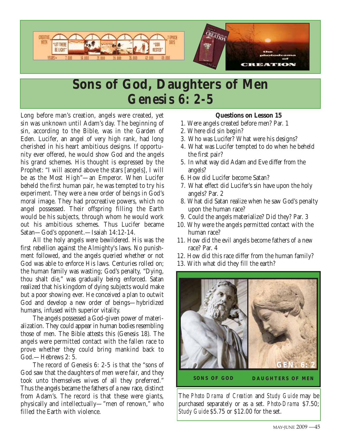

# **Sons of God, Daughters of Men** *Genesis 6: 2-5*

Long before man's creation, angels were created, yet sin was unknown until Adam's day. The beginning of sin, according to the Bible, was in the Garden of Eden. Lucifer, an angel of very high rank, had long cherished in his heart ambitious designs. If opportunity ever offered, he would show God and the angels his grand schemes. His thought is expressed by the Prophet: "I will ascend above the stars [angels], I will be as the Most High"—an Emperor. When Lucifer beheld the first human pair, he was tempted to try his experiment. They were a new order of beings in God's moral image. They had procreative powers, which no angel possessed. Their offspring filling the Earth would be his subjects, through whom he would work out his ambitious schemes. Thus Lucifer became Satan—God's opponent.—Isaiah 14:12-14.

All the holy angels were bewildered. His was the first rebellion against the Almighty's laws. No punishment followed, and the angels queried whether or not God was able to enforce His laws. Centuries rolled on; the human family was wasting; God's penalty, "Dying, thou shalt die," was gradually being enforced. Satan realized that his kingdom of dying subjects would make but a poor showing ever. He conceived a plan to outwit God and develop a new order of beings—hybridized humans, infused with superior vitality.

The angels possessed a God-given power of materialization. They could appear in human bodies resembling those of men. The Bible attests this (Genesis 18). The angels were permitted contact with the fallen race to prove whether they could bring mankind back to God.—Hebrews 2: 5.

The record of Genesis 6: 2-5 is that the "sons of God saw that the daughters of men were fair, and they took unto themselves wives of all they preferred." Thus the angels became the fathers of a new race, distinct from Adam's. The record is that these were giants, physically and intellectually—"men of renown," who filled the Earth with violence.

#### **Questions on Lesson 15**

- 1. Were angels created before men? Par. 1
- 2. Where did sin begin?
- 3. Who was Lucifer? What were his designs?
- 4. What was Lucifer tempted to do when he beheld the first pair?
- 5. In what way did Adam and Eve differ from the angels?
- 6. How did Lucifer become Satan?
- 7. What effect did Lucifer's sin have upon the holy angels? Par. 2
- 8. What did Satan realize when he saw God's penalty upon the human race?
- 9. Could the angels materialize? Did they? Par. 3
- 10. Why were the angels permitted contact with the human race?
- 11. How did the evil angels become fathers of a new race? Par. 4
- 12. How did this race differ from the human family?
- 13. With what did they fill the earth?



The *Photo Drama of Creation* and *Study Guide* may be purchased separately or as a set. *Photo-Drama* \$7.50; *Study Guide* \$5.75 or \$12.00 for the set.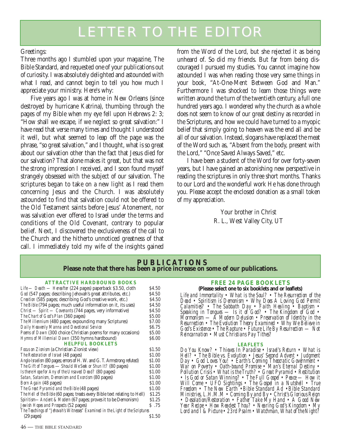## LETTER TO THE EDITOR

#### Greetings:

Three months ago I stumbled upon your magazine, The Bible Standard, and requested one of your publications out of curiosity. I was absolutely delighted and astounded with what I read, and cannot begin to tell you how much I appreciate your ministry. Here's why:

Five years ago I was at home in New Orleans (since destroyed by hurricane Katrina), thumbing through the pages of my Bible when my eye fell upon Hebrews 2: 3; "How shall we escape, if we neglect so great salvation:" I have read that verse many times and thought I understood it well, but what seemed to leap off the page was the phrase, "so great salvation," and I thought, what is so great about our salvation other than the fact that Jesus died for our salvation? That alone makes it great, but that was not the strong impression I received, and I soon found myself strangely obsessed with the subject of our salvation. The scriptures began to take on a new light as I read them concerning Jesus and the Church. I was absolutely astounded to find that salvation could not be offered to the Old Testament saints before Jesus' Atonement, nor was salvation ever offered to Israel under the terms and conditions of the Old Covenant, contrary to popular belief. Next, I discovered the exclusiveness of the call to the Church and the hitherto unnoticed greatness of that call. I immediately told my wife of the insights gained

from the Word of the Lord, but she rejected it as being unheard of. So did my friends. But far from being discouraged I pursued my studies. You cannot imagine how astounded I was when reading those very same things in your book, "At-One-Ment Between God and Man." Furthermore I was shocked to leam those things were written around the turn of the twentieth century, a full one hundred years ago. I wondered why the church as a whole does not seem to know of our great destiny as recorded in the Scriptures, and how we could have turned to a myopic belief that simply going to heaven was the end all and be all of our salvation. Instead, slogans have replaced the meat of the Word such as, "Absent from the body, present with the Lord," "Once Saved Always Saved," etc.

I have been a student of the Word for over forty-seven years, but I have gained an astonishing new perspective in reading the scriptures in only three short months. Thanks to our Lord and the wonderful work He has done through you. Please accept the enclosed donation as a small token of my appreciation.

> Your brother in Christ R. L., West Valley City, UT

#### **PUBLICATIONS Please note that there has been a price increase on some of our publications.**

#### **ATTRACTIVE HARDBOUND BOOKS**

| $Life$ — Death — Hereafter (224 pages) paperback \$3.50, cloth                 | \$4.50  |
|--------------------------------------------------------------------------------|---------|
| God (547 pages; describing Jehovah's great attributes, etc.)                   | \$4.50  |
| Creation (585 pages; describing God's creative work, etc.)                     | \$4.50  |
| The Bible (794 pages; much useful information on it, its uses)                 | \$4.50  |
| Christ — Spirit — Covenants (744 pages, very informative)                      | \$4.50  |
| The Chart of God's Plan (360 pages)                                            | \$5.00  |
| The Millennium (480 pages; expounding many Scriptures)                         | \$7.00  |
| Daily Heavenly Manna and Devotional Service                                    | \$6.75  |
| Poems of Dawn (300 choice Christian poems for many occasions)                  | \$5.00  |
| Hymns of Millennial Dawn (350 hymns hardbound)                                 | \$6.00  |
| <b>HELPFUL BOOKLETS</b>                                                        |         |
| Focus on Zionism (a Christian Zionist view)                                    | \$1.50  |
| The Restoration of Israel (48 pages)                                           | \$1.00  |
| Anglo-Israelism (80 pages; errors of H. W. and G. T. Armstrong refuted)        | \$1.00  |
| The Gift of Tongues - Should We Seek or Shun It? (80 pages)                    | \$1.00  |
| Is there Hope for Any of the Unsaved Dead? (80 pages)                          | \$1.00  |
| Satan, Satanism, Demonism and Exorcism (80 pages)                              | \$1.00  |
| Born Again (48 pages)                                                          | \$1.00  |
| The Great Pyramid and the Bible (48 pages)                                     | \$1.00  |
| The Hell of the Bible (60 pages; treats every Bible text relating to Hell)     | \$1.25  |
| Spiritism-Ancient & Modern (67 pages; proves it to be Demonism)                | \$1.25  |
| Jewish Hopes and Prospects (52 pages)                                          | $S$ .75 |
| The Teachings of "Jehovah's Witnesses" Examined in the Light of the Scriptures |         |
| $(29 \text{ pages})$                                                           | \$1.50  |
|                                                                                |         |

#### **FREE 24 PAGE BOOKLETS**

**(Please select one to six booklets and or leaflets)**

*Life and Immortality • What is the Soul? • The Resurrection of the Dead • Spiritism is Demonism • Why Does A Loving God Permit Calamities? • The Sabbath Day • Faith Healing • Baptism • Speaking in Tongues — Is it of God? • The Kingdom of God • Mormonism — A Modern Delusion • Preservation of Identity in the Resurrection • The Evolution Theory Examined • Why We Believe in God's Existence • The Rapture • Future Life By Resurrection — Not Reincarnation • Must Christians Pay Tithes?*

#### **LEAFLETS**

*Do You Know? • Thieves In Paradise • Israel's Return • What is Hell? • The Bible vs. Evolution • Jesus' Second Advent • Judgment Day • God Loves You! • Earth's Coming Theocratic Government • War on Poverty • Oath-bound Promise • Man's Eternal Destiny • Pollution Crisis • What is the Truth? • Great Pyramid • Restitution • Is God or Satan Winning? • The Full Gospel • Peace — How it Will Come • UFO Sightings • The Gospel in a Nutshell • True Freedom • The New Earth •Bible Standard Ad •Bible Standard Ministries, L.H.M.M • Coming By and By • Christ's Glorious Reign • Desolation/Restoration • Father Take My Hand • A Good New Year Recipe • How Readest Thou? • Nearing God's Kingdom • My Lord and I & Picture • 23rd Psalm • Watchman, What of the Night?*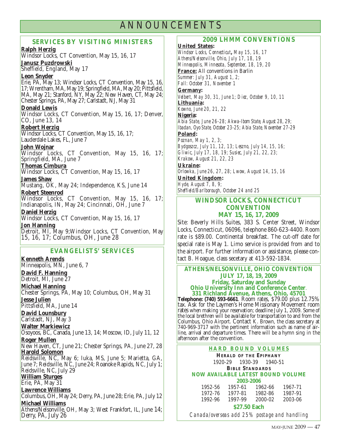## ANNOUNCEMENTS

#### **SERVICES BY VISITING MINISTERS**

**Ralph Herzig** Windsor Locks, CT Convention, May 15, 16, 17 **Janusz Puzdrowski** Sheffield, England, May 17 **Leon Snyder** Erie, PA, May 13; Windsor Locks, CT Convention, May 15, 16, 17; Wrentham, MA, May 19; Springfield, MA, May 20; Pittsfield, MA, May 21; Stanford, NY, May 22; New Haven, CT, May 24; Chester Springs, PA, May 27; Carlstadt, NJ, May 31 **Donald Lewis** Windsor Locks, CT Convention, May 15, 16, 17; Denver, CO, June 13, 14 **Robert Herzig** Windsor Locks, CT Convention, May 15, 16, 17; Lauderdale Lakes, FL, June 7 **John Wojnar** Windsor Locks, CT Convention, May 15, 16, 17; Springfield, MA, June 7 **Thomas Cimbura** Windsor Locks, CT Convention, May 15, 16, 17 **James Shaw** Mustang, OK, May 24; Independence, KS, June 14 **Robert Steenrod** Windsor Locks, CT Convention, May 15, 16, 17; Indianapolis, IN, May 24; Cincinnati, OH, June 7 **Daniel Herzig** Windsor Locks, CT Convention, May 15, 16, 17 **Jon Hanning** Detroit, MI, May 9;Windsor Locks, CT Convention, May 15, 16, 17; Columbus, OH, June 28

#### **EVANGELISTS' SERVICES**

**Kenneth Arends**

Minneapolis, MN, June 6, 7

**David F. Hanning** Detroit, MI, June 27

**Michael Hanning**

Chester Springs, PA, May 10; Columbus, OH, May 31 **Jesse Julien**

Pittsfield, MA, June 14

**David Lounsbury**

Carlstadt, NJ, May 3

**Walter Markiewicz**

Osoyoos, BC, Canada, June 13, 14; Moscow, ID, July 11, 12 **Roger Mullen**

New Haven, CT, June 21; Chester Springs, PA, June 27, 28 **Harold Solomon**

Reidsville, NC, May 6; Iuka, MS, June 5; Marietta, GA, June 7; Reidsville, NC, June 24; Roanoke Rapids, NC, July 1; Reidsville, NC, July 29

**William Sturges**

Erie, PA, May 31

#### **Lawrence Williams**

Columbus, OH, May 24; Derry, PA, June 28; Erie, PA, July 12 **Michael Williams**

Athens/Nelsonville, OH, May 3; West Frankfort, IL, June 14; Derry, PA, July 26

#### **2009 LHMM CONVENTIONS**

**United States:** 

*Windsor Locks, Connecticut, May 15, 16, 17 Athens/Nelsonville, Ohio, July 17, 18, 19 Minneapolis, Minnesota, September, 18, 19, 20* **France:** All conventions in Barlin *Summer: July 31, August 1, 2; Fall: October 31, November 1* **Germany:**  *Velbert, May 30, 31, June 1; Diez, October 9, 10, 11* **Lithuania:** *Kowno, June 20, 21, 22* **Nigeria:** *Abia State, June 26-28; Akwa-Ibom State, August 28, 29; Ibadan, Oyo State, October 23-25; Abia State, November 27-29* **Poland:** *Poznan, May 1, 2, 3; Bydgoszcz, July 11, 12, 13; Leszno, July 14, 15, 16; Gliwic, July 17, 18, 19; Susiec, July 21, 22, 23; Krakow, August 21, 22, 23* **Ukraine:** *Orlowka, June 26, 27, 28; Lwow, August 14, 15, 16* **United Kingdom:**  *Hyde, August 7, 8, 9; Sheffield/Barlborough, October 24 and 25*

#### **WINDSOR LOCKS, CONNECTICUT CONVENTION MAY 15, 16, 17, 2009**

Site: Beverly Hills Suites, 383 S. Center Street, Windsor Locks, Connecticut, 06096, telephone 860-623-4400. Room rate is \$89.00. Continental breakfast. The cut-off date for special rate is May 1. Limo service is provided from and to the airport. For further information or assistance, please contact B. Hoague, class secetary at 413-592-1834.

**ATHENS/NELSONVILLE, OHIO CONVENTION JULY 17, 18, 19, 2009** 

**Friday, Saturday and Sunday Ohio University Inn and Conference Center**. **331 Richland Avenue, Athens, Ohio, 45701**

**Telephone: (740) 593-6661**. Room rates, \$79.00 plus 12.75% tax. Ask for the Laymen's Home Missionary Movement room rates when making your reservation; deadline July 1, 2009. Some of the local brethren will be available for transportation to and from the Columbus, Ohio Airport. Contact K. Brown, the class secretary at 740-969-3717 with the pertinent information such as name of airline, arrival and departure times. There will be a hymn sing in the afternoon after the convention.

| <b>HARD BOUND VOLUMES</b>         |                         |                 |         |  |  |  |  |
|-----------------------------------|-------------------------|-----------------|---------|--|--|--|--|
| <b>HERALD OF THE EPIPHANY</b>     |                         |                 |         |  |  |  |  |
|                                   | 1920-29 1930-39 1940-51 |                 |         |  |  |  |  |
| <b>BIBLE STANDARDS</b>            |                         |                 |         |  |  |  |  |
| NOW AVAILABLE LATEST BOUND VOLUME |                         |                 |         |  |  |  |  |
| 2003-2006                         |                         |                 |         |  |  |  |  |
| 1952-56                           |                         | 1957-61 1962-66 | 1967-71 |  |  |  |  |
| 1972-76                           |                         | 1977-81 1982-86 | 1987-91 |  |  |  |  |
|                                   |                         |                 |         |  |  |  |  |

|                                              | \$27.50 Each |  |  |
|----------------------------------------------|--------------|--|--|
| Canada/overseas add 25% postage and handling |              |  |  |

1992-96 1997-99 2000-02 2003-06